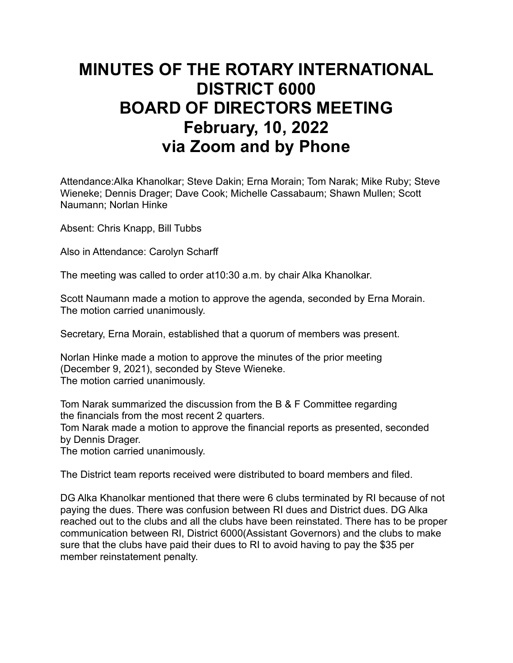## **MINUTES OF THE ROTARY INTERNATIONAL DISTRICT 6000 BOARD OF DIRECTORS MEETING February, 10, 2022 via Zoom and by Phone**

Attendance:Alka Khanolkar; Steve Dakin; Erna Morain; Tom Narak; Mike Ruby; Steve Wieneke; Dennis Drager; Dave Cook; Michelle Cassabaum; Shawn Mullen; Scott Naumann; Norlan Hinke

Absent: Chris Knapp, Bill Tubbs

Also in Attendance: Carolyn Scharff

The meeting was called to order at10:30 a.m. by chair Alka Khanolkar.

Scott Naumann made a motion to approve the agenda, seconded by Erna Morain. The motion carried unanimously.

Secretary, Erna Morain, established that a quorum of members was present.

Norlan Hinke made a motion to approve the minutes of the prior meeting (December 9, 2021), seconded by Steve Wieneke. The motion carried unanimously.

Tom Narak summarized the discussion from the B & F Committee regarding the financials from the most recent 2 quarters.

Tom Narak made a motion to approve the financial reports as presented, seconded by Dennis Drager.

The motion carried unanimously.

The District team reports received were distributed to board members and filed.

DG Alka Khanolkar mentioned that there were 6 clubs terminated by RI because of not paying the dues. There was confusion between RI dues and District dues. DG Alka reached out to the clubs and all the clubs have been reinstated. There has to be proper communication between RI, District 6000(Assistant Governors) and the clubs to make sure that the clubs have paid their dues to RI to avoid having to pay the \$35 per member reinstatement penalty.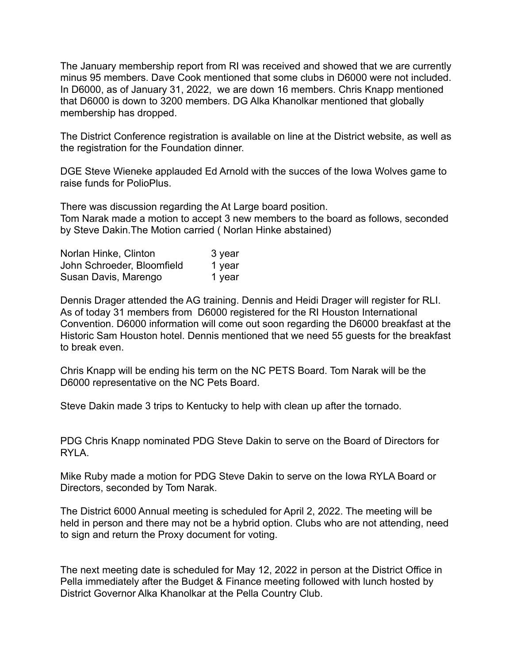The January membership report from RI was received and showed that we are currently minus 95 members. Dave Cook mentioned that some clubs in D6000 were not included. In D6000, as of January 31, 2022, we are down 16 members. Chris Knapp mentioned that D6000 is down to 3200 members. DG Alka Khanolkar mentioned that globally membership has dropped.

The District Conference registration is available on line at the District website, as well as the registration for the Foundation dinner.

DGE Steve Wieneke applauded Ed Arnold with the succes of the Iowa Wolves game to raise funds for PolioPlus.

There was discussion regarding the At Large board position. Tom Narak made a motion to accept 3 new members to the board as follows, seconded by Steve Dakin.The Motion carried ( Norlan Hinke abstained)

| Norlan Hinke, Clinton      | 3 year |
|----------------------------|--------|
| John Schroeder, Bloomfield | 1 year |
| Susan Davis, Marengo       | 1 year |

Dennis Drager attended the AG training. Dennis and Heidi Drager will register for RLI. As of today 31 members from D6000 registered for the RI Houston International Convention. D6000 information will come out soon regarding the D6000 breakfast at the Historic Sam Houston hotel. Dennis mentioned that we need 55 guests for the breakfast to break even.

Chris Knapp will be ending his term on the NC PETS Board. Tom Narak will be the D6000 representative on the NC Pets Board.

Steve Dakin made 3 trips to Kentucky to help with clean up after the tornado.

PDG Chris Knapp nominated PDG Steve Dakin to serve on the Board of Directors for RYLA.

Mike Ruby made a motion for PDG Steve Dakin to serve on the Iowa RYLA Board or Directors, seconded by Tom Narak.

The District 6000 Annual meeting is scheduled for April 2, 2022. The meeting will be held in person and there may not be a hybrid option. Clubs who are not attending, need to sign and return the Proxy document for voting.

The next meeting date is scheduled for May 12, 2022 in person at the District Office in Pella immediately after the Budget & Finance meeting followed with lunch hosted by District Governor Alka Khanolkar at the Pella Country Club.